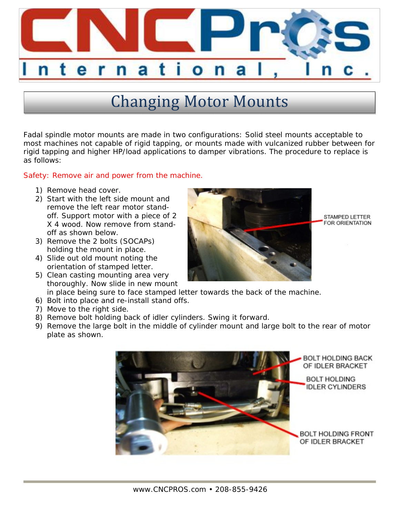

## Changing Motor Mounts

Fadal spindle motor mounts are made in two configurations: Solid steel mounts acceptable to most machines not capable of rigid tapping, or mounts made with vulcanized rubber between for rigid tapping and higher HP/load applications to damper vibrations. The procedure to replace is as follows:

## Safety: Remove air and power from the machine.

- 1) Remove head cover.
- 2) Start with the left side mount and remove the left rear motor standoff. Support motor with a piece of 2 X 4 wood. Now remove from standoff as shown below.
- 3) Remove the 2 bolts (SOCAPs) holding the mount in place.
- 4) Slide out old mount noting the orientation of stamped letter.
- 5) Clean casting mounting area very thoroughly. Now slide in new mount in place being sure to face stamped letter towards the back of the machine.
- 6) Bolt into place and re-install stand offs.
- 7) Move to the right side.
- 8) Remove bolt holding back of idler cylinders. Swing it forward.
- 9) Remove the large bolt in the middle of cylinder mount and large bolt to the rear of motor plate as shown.